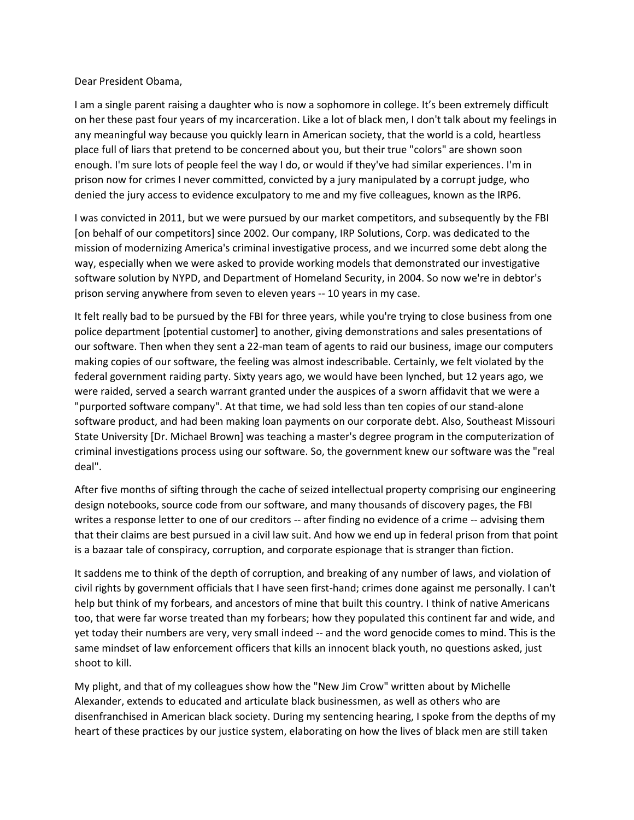Dear President Obama,

I am a single parent raising a daughter who is now a sophomore in college. It's been extremely difficult on her these past four years of my incarceration. Like a lot of black men, I don't talk about my feelings in any meaningful way because you quickly learn in American society, that the world is a cold, heartless place full of liars that pretend to be concerned about you, but their true "colors" are shown soon enough. I'm sure lots of people feel the way I do, or would if they've had similar experiences. I'm in prison now for crimes I never committed, convicted by a jury manipulated by a corrupt judge, who denied the jury access to evidence exculpatory to me and my five colleagues, known as the IRP6.

I was convicted in 2011, but we were pursued by our market competitors, and subsequently by the FBI [on behalf of our competitors] since 2002. Our company, IRP Solutions, Corp. was dedicated to the mission of modernizing America's criminal investigative process, and we incurred some debt along the way, especially when we were asked to provide working models that demonstrated our investigative software solution by NYPD, and Department of Homeland Security, in 2004. So now we're in debtor's prison serving anywhere from seven to eleven years -- 10 years in my case.

It felt really bad to be pursued by the FBI for three years, while you're trying to close business from one police department [potential customer] to another, giving demonstrations and sales presentations of our software. Then when they sent a 22-man team of agents to raid our business, image our computers making copies of our software, the feeling was almost indescribable. Certainly, we felt violated by the federal government raiding party. Sixty years ago, we would have been lynched, but 12 years ago, we were raided, served a search warrant granted under the auspices of a sworn affidavit that we were a "purported software company". At that time, we had sold less than ten copies of our stand-alone software product, and had been making loan payments on our corporate debt. Also, Southeast Missouri State University [Dr. Michael Brown] was teaching a master's degree program in the computerization of criminal investigations process using our software. So, the government knew our software was the "real deal".

After five months of sifting through the cache of seized intellectual property comprising our engineering design notebooks, source code from our software, and many thousands of discovery pages, the FBI writes a response letter to one of our creditors -- after finding no evidence of a crime -- advising them that their claims are best pursued in a civil law suit. And how we end up in federal prison from that point is a bazaar tale of conspiracy, corruption, and corporate espionage that is stranger than fiction.

It saddens me to think of the depth of corruption, and breaking of any number of laws, and violation of civil rights by government officials that I have seen first-hand; crimes done against me personally. I can't help but think of my forbears, and ancestors of mine that built this country. I think of native Americans too, that were far worse treated than my forbears; how they populated this continent far and wide, and yet today their numbers are very, very small indeed -- and the word genocide comes to mind. This is the same mindset of law enforcement officers that kills an innocent black youth, no questions asked, just shoot to kill.

My plight, and that of my colleagues show how the "New Jim Crow" written about by Michelle Alexander, extends to educated and articulate black businessmen, as well as others who are disenfranchised in American black society. During my sentencing hearing, I spoke from the depths of my heart of these practices by our justice system, elaborating on how the lives of black men are still taken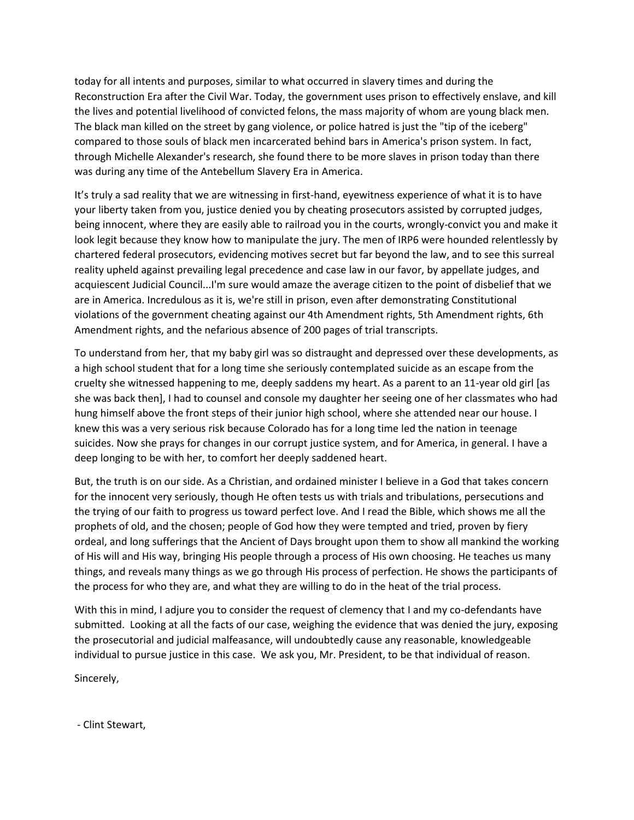today for all intents and purposes, similar to what occurred in slavery times and during the Reconstruction Era after the Civil War. Today, the government uses prison to effectively enslave, and kill the lives and potential livelihood of convicted felons, the mass majority of whom are young black men. The black man killed on the street by gang violence, or police hatred is just the "tip of the iceberg" compared to those souls of black men incarcerated behind bars in America's prison system. In fact, through Michelle Alexander's research, she found there to be more slaves in prison today than there was during any time of the Antebellum Slavery Era in America.

It's truly a sad reality that we are witnessing in first-hand, eyewitness experience of what it is to have your liberty taken from you, justice denied you by cheating prosecutors assisted by corrupted judges, being innocent, where they are easily able to railroad you in the courts, wrongly-convict you and make it look legit because they know how to manipulate the jury. The men of IRP6 were hounded relentlessly by chartered federal prosecutors, evidencing motives secret but far beyond the law, and to see this surreal reality upheld against prevailing legal precedence and case law in our favor, by appellate judges, and acquiescent Judicial Council...I'm sure would amaze the average citizen to the point of disbelief that we are in America. Incredulous as it is, we're still in prison, even after demonstrating Constitutional violations of the government cheating against our 4th Amendment rights, 5th Amendment rights, 6th Amendment rights, and the nefarious absence of 200 pages of trial transcripts.

To understand from her, that my baby girl was so distraught and depressed over these developments, as a high school student that for a long time she seriously contemplated suicide as an escape from the cruelty she witnessed happening to me, deeply saddens my heart. As a parent to an 11-year old girl [as she was back then], I had to counsel and console my daughter her seeing one of her classmates who had hung himself above the front steps of their junior high school, where she attended near our house. I knew this was a very serious risk because Colorado has for a long time led the nation in teenage suicides. Now she prays for changes in our corrupt justice system, and for America, in general. I have a deep longing to be with her, to comfort her deeply saddened heart.

But, the truth is on our side. As a Christian, and ordained minister I believe in a God that takes concern for the innocent very seriously, though He often tests us with trials and tribulations, persecutions and the trying of our faith to progress us toward perfect love. And I read the Bible, which shows me all the prophets of old, and the chosen; people of God how they were tempted and tried, proven by fiery ordeal, and long sufferings that the Ancient of Days brought upon them to show all mankind the working of His will and His way, bringing His people through a process of His own choosing. He teaches us many things, and reveals many things as we go through His process of perfection. He shows the participants of the process for who they are, and what they are willing to do in the heat of the trial process.

With this in mind, I adjure you to consider the request of clemency that I and my co-defendants have submitted. Looking at all the facts of our case, weighing the evidence that was denied the jury, exposing the prosecutorial and judicial malfeasance, will undoubtedly cause any reasonable, knowledgeable individual to pursue justice in this case. We ask you, Mr. President, to be that individual of reason.

Sincerely,

- Clint Stewart,